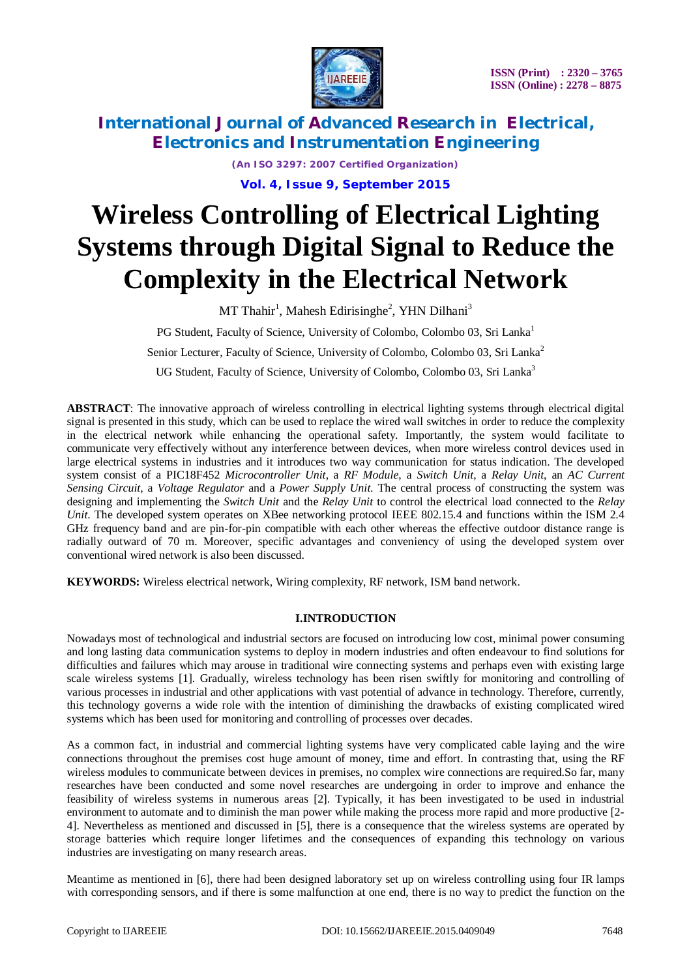

*(An ISO 3297: 2007 Certified Organization)* **Vol. 4, Issue 9, September 2015**

# **Wireless Controlling of Electrical Lighting Systems through Digital Signal to Reduce the Complexity in the Electrical Network**

MT Thahir<sup>1</sup>, Mahesh Edirisinghe<sup>2</sup>, YHN Dilhani<sup>3</sup>

PG Student, Faculty of Science, University of Colombo, Colombo 03, Sri Lanka<sup>1</sup>

Senior Lecturer, Faculty of Science, University of Colombo, Colombo 03, Sri Lanka<sup>2</sup>

UG Student, Faculty of Science, University of Colombo, Colombo 03, Sri Lanka<sup>3</sup>

**ABSTRACT**: The innovative approach of wireless controlling in electrical lighting systems through electrical digital signal is presented in this study, which can be used to replace the wired wall switches in order to reduce the complexity in the electrical network while enhancing the operational safety. Importantly, the system would facilitate to communicate very effectively without any interference between devices, when more wireless control devices used in large electrical systems in industries and it introduces two way communication for status indication. The developed system consist of a PIC18F452 *Microcontroller Unit*, a *RF Module*, a *Switch Unit*, a *Relay Unit*, an *AC Current Sensing Circuit*, a *Voltage Regulator* and a *Power Supply Unit*. The central process of constructing the system was designing and implementing the *Switch Unit* and the *Relay Unit* to control the electrical load connected to the *Relay Unit*. The developed system operates on XBee networking protocol IEEE 802.15.4 and functions within the ISM 2.4 GHz frequency band and are pin-for-pin compatible with each other whereas the effective outdoor distance range is radially outward of 70 m. Moreover, specific advantages and conveniency of using the developed system over conventional wired network is also been discussed.

**KEYWORDS:** Wireless electrical network, Wiring complexity, RF network, ISM band network.

#### **I.INTRODUCTION**

Nowadays most of technological and industrial sectors are focused on introducing low cost, minimal power consuming and long lasting data communication systems to deploy in modern industries and often endeavour to find solutions for difficulties and failures which may arouse in traditional wire connecting systems and perhaps even with existing large scale wireless systems [1]. Gradually, wireless technology has been risen swiftly for monitoring and controlling of various processes in industrial and other applications with vast potential of advance in technology. Therefore, currently, this technology governs a wide role with the intention of diminishing the drawbacks of existing complicated wired systems which has been used for monitoring and controlling of processes over decades.

As a common fact, in industrial and commercial lighting systems have very complicated cable laying and the wire connections throughout the premises cost huge amount of money, time and effort. In contrasting that, using the RF wireless modules to communicate between devices in premises, no complex wire connections are required.So far, many researches have been conducted and some novel researches are undergoing in order to improve and enhance the feasibility of wireless systems in numerous areas [2]. Typically, it has been investigated to be used in industrial environment to automate and to diminish the man power while making the process more rapid and more productive [2- 4]. Nevertheless as mentioned and discussed in [5], there is a consequence that the wireless systems are operated by storage batteries which require longer lifetimes and the consequences of expanding this technology on various industries are investigating on many research areas.

Meantime as mentioned in [6], there had been designed laboratory set up on wireless controlling using four IR lamps with corresponding sensors, and if there is some malfunction at one end, there is no way to predict the function on the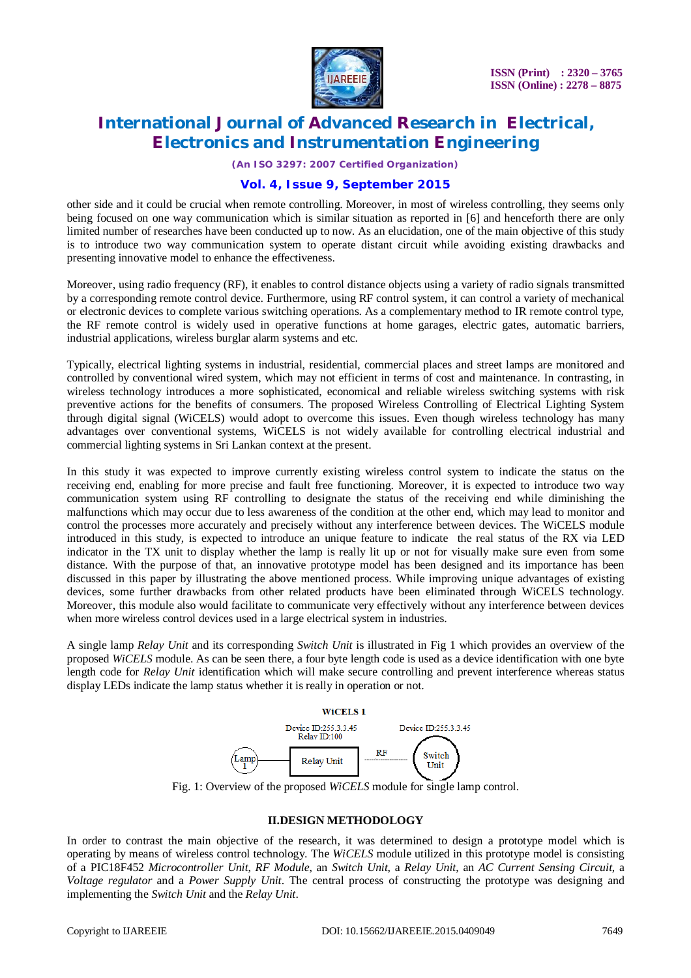

*(An ISO 3297: 2007 Certified Organization)*

#### **Vol. 4, Issue 9, September 2015**

other side and it could be crucial when remote controlling. Moreover, in most of wireless controlling, they seems only being focused on one way communication which is similar situation as reported in [6] and henceforth there are only limited number of researches have been conducted up to now. As an elucidation, one of the main objective of this study is to introduce two way communication system to operate distant circuit while avoiding existing drawbacks and presenting innovative model to enhance the effectiveness.

Moreover, using radio frequency (RF), it enables to control distance objects using a variety of radio signals transmitted by a corresponding remote control device. Furthermore, using RF control system, it can control a variety of mechanical or electronic devices to complete various switching operations. As a complementary method to IR remote control type, the RF remote control is widely used in operative functions at home garages, electric gates, automatic barriers, industrial applications, wireless burglar alarm systems and etc.

Typically, electrical lighting systems in industrial, residential, commercial places and street lamps are monitored and controlled by conventional wired system, which may not efficient in terms of cost and maintenance. In contrasting, in wireless technology introduces a more sophisticated, economical and reliable wireless switching systems with risk preventive actions for the benefits of consumers. The proposed Wireless Controlling of Electrical Lighting System through digital signal (WiCELS) would adopt to overcome this issues. Even though wireless technology has many advantages over conventional systems, WiCELS is not widely available for controlling electrical industrial and commercial lighting systems in Sri Lankan context at the present.

In this study it was expected to improve currently existing wireless control system to indicate the status on the receiving end, enabling for more precise and fault free functioning. Moreover, it is expected to introduce two way communication system using RF controlling to designate the status of the receiving end while diminishing the malfunctions which may occur due to less awareness of the condition at the other end, which may lead to monitor and control the processes more accurately and precisely without any interference between devices. The WiCELS module introduced in this study, is expected to introduce an unique feature to indicate the real status of the RX via LED indicator in the TX unit to display whether the lamp is really lit up or not for visually make sure even from some distance. With the purpose of that, an innovative prototype model has been designed and its importance has been discussed in this paper by illustrating the above mentioned process. While improving unique advantages of existing devices, some further drawbacks from other related products have been eliminated through WiCELS technology. Moreover, this module also would facilitate to communicate very effectively without any interference between devices when more wireless control devices used in a large electrical system in industries.

A single lamp *Relay Unit* and its corresponding *Switch Unit* is illustrated in Fig 1 which provides an overview of the proposed *WiCELS* module. As can be seen there, a four byte length code is used as a device identification with one byte length code for *Relay Unit* identification which will make secure controlling and prevent interference whereas status display LEDs indicate the lamp status whether it is really in operation or not.



Fig. 1: Overview of the proposed *WiCELS* module for single lamp control.

#### **II.DESIGN METHODOLOGY**

In order to contrast the main objective of the research, it was determined to design a prototype model which is operating by means of wireless control technology. The *WiCELS* module utilized in this prototype model is consisting of a PIC18F452 *Microcontroller Unit*, *RF Module*, an *Switch Unit*, a *Relay Unit*, an *AC Current Sensing Circuit*, a *Voltage regulator* and a *Power Supply Unit*. The central process of constructing the prototype was designing and implementing the *Switch Unit* and the *Relay Unit*.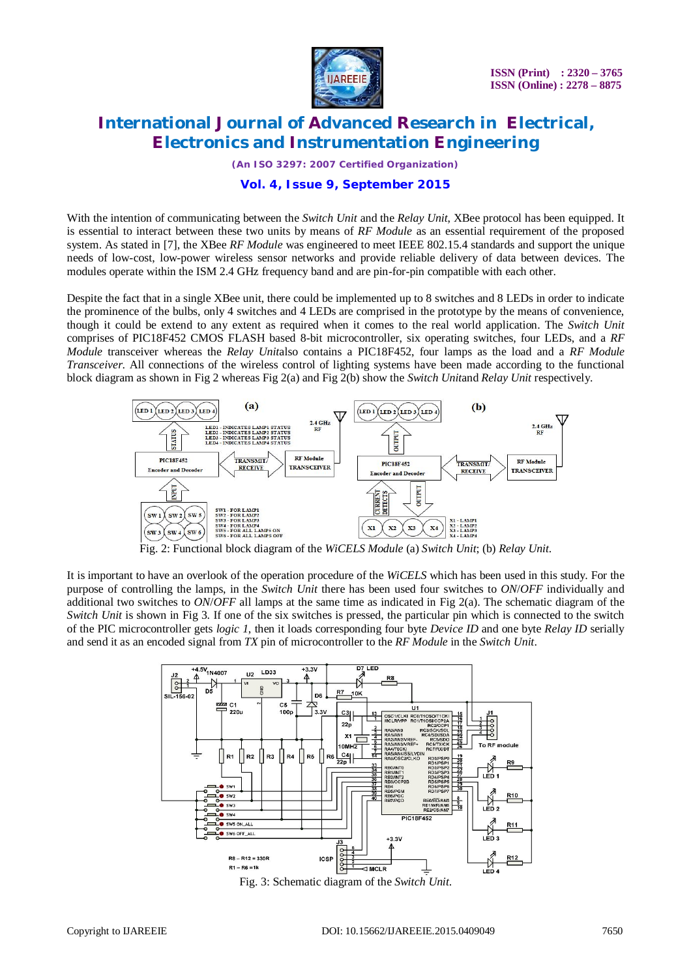

*(An ISO 3297: 2007 Certified Organization)*

#### **Vol. 4, Issue 9, September 2015**

With the intention of communicating between the *Switch Unit* and the *Relay Unit*, XBee protocol has been equipped. It is essential to interact between these two units by means of *RF Module* as an essential requirement of the proposed system. As stated in [7], the XBee *RF Module* was engineered to meet IEEE 802.15.4 standards and support the unique needs of low-cost, low-power wireless sensor networks and provide reliable delivery of data between devices. The modules operate within the ISM 2.4 GHz frequency band and are pin-for-pin compatible with each other.

Despite the fact that in a single XBee unit, there could be implemented up to 8 switches and 8 LEDs in order to indicate the prominence of the bulbs, only 4 switches and 4 LEDs are comprised in the prototype by the means of convenience, though it could be extend to any extent as required when it comes to the real world application. The *Switch Unit* comprises of PIC18F452 CMOS FLASH based 8-bit microcontroller, six operating switches, four LEDs, and a *RF Module* transceiver whereas the *Relay Unit*also contains a PIC18F452, four lamps as the load and a *RF Module Transceiver*. All connections of the wireless control of lighting systems have been made according to the functional block diagram as shown in Fig 2 whereas Fig 2(a) and Fig 2(b) show the *Switch Unit*and *Relay Unit* respectively.



Fig. 2: Functional block diagram of the *WiCELS Module* (a) *Switch Unit*; (b) *Relay Unit*.

It is important to have an overlook of the operation procedure of the *WiCELS* which has been used in this study. For the purpose of controlling the lamps, in the *Switch Unit* there has been used four switches to *ON*/*OFF* individually and additional two switches to *ON*/*OFF* all lamps at the same time as indicated in Fig 2(a). The schematic diagram of the *Switch Unit* is shown in Fig 3. If one of the six switches is pressed, the particular pin which is connected to the switch of the PIC microcontroller gets *logic 1*, then it loads corresponding four byte *Device ID* and one byte *Relay ID* serially and send it as an encoded signal from *TX* pin of microcontroller to the *RF Module* in the *Switch Unit*.



Fig. 3: Schematic diagram of the *Switch Unit*.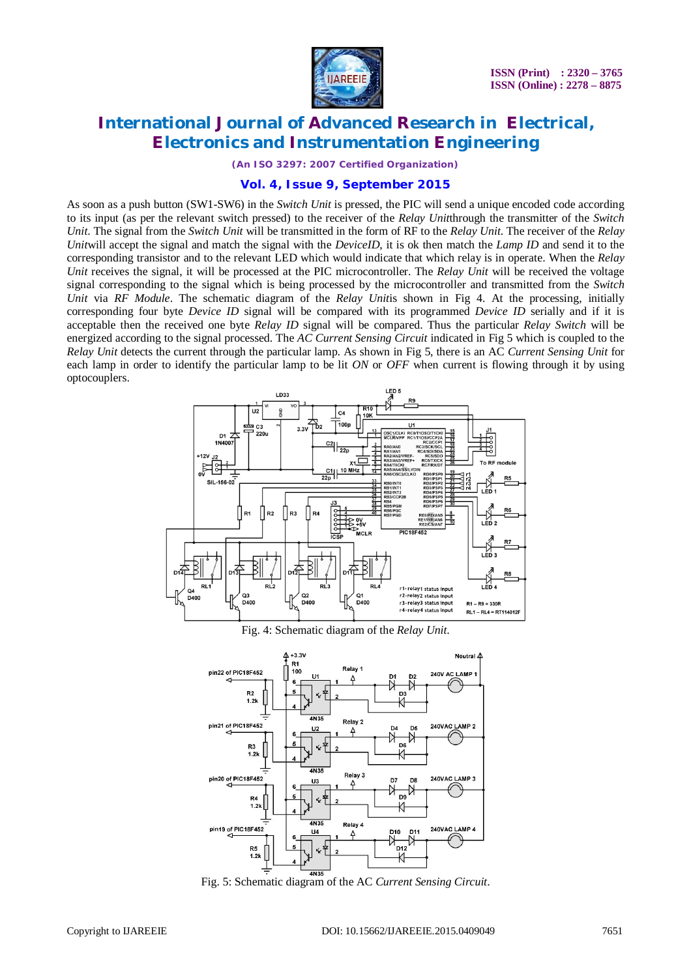

*(An ISO 3297: 2007 Certified Organization)*

#### **Vol. 4, Issue 9, September 2015**

As soon as a push button (SW1-SW6) in the *Switch Unit* is pressed, the PIC will send a unique encoded code according to its input (as per the relevant switch pressed) to the receiver of the *Relay Unit*through the transmitter of the *Switch Unit*. The signal from the *Switch Unit* will be transmitted in the form of RF to the *Relay Unit*. The receiver of the *Relay Unit*will accept the signal and match the signal with the *DeviceID*, it is ok then match the *Lamp ID* and send it to the corresponding transistor and to the relevant LED which would indicate that which relay is in operate. When the *Relay Unit* receives the signal, it will be processed at the PIC microcontroller. The *Relay Unit* will be received the voltage signal corresponding to the signal which is being processed by the microcontroller and transmitted from the *Switch Unit* via *RF Module*. The schematic diagram of the *Relay Unit*is shown in Fig 4. At the processing, initially corresponding four byte *Device ID* signal will be compared with its programmed *Device ID* serially and if it is acceptable then the received one byte *Relay ID* signal will be compared. Thus the particular *Relay Switch* will be energized according to the signal processed. The *AC Current Sensing Circuit* indicated in Fig 5 which is coupled to the *Relay Unit* detects the current through the particular lamp. As shown in Fig 5, there is an AC *Current Sensing Unit* for each lamp in order to identify the particular lamp to be lit *ON* or *OFF* when current is flowing through it by using optocouplers.



Fig. 4: Schematic diagram of the *Relay Unit*.



Fig. 5: Schematic diagram of the AC *Current Sensing Circuit*.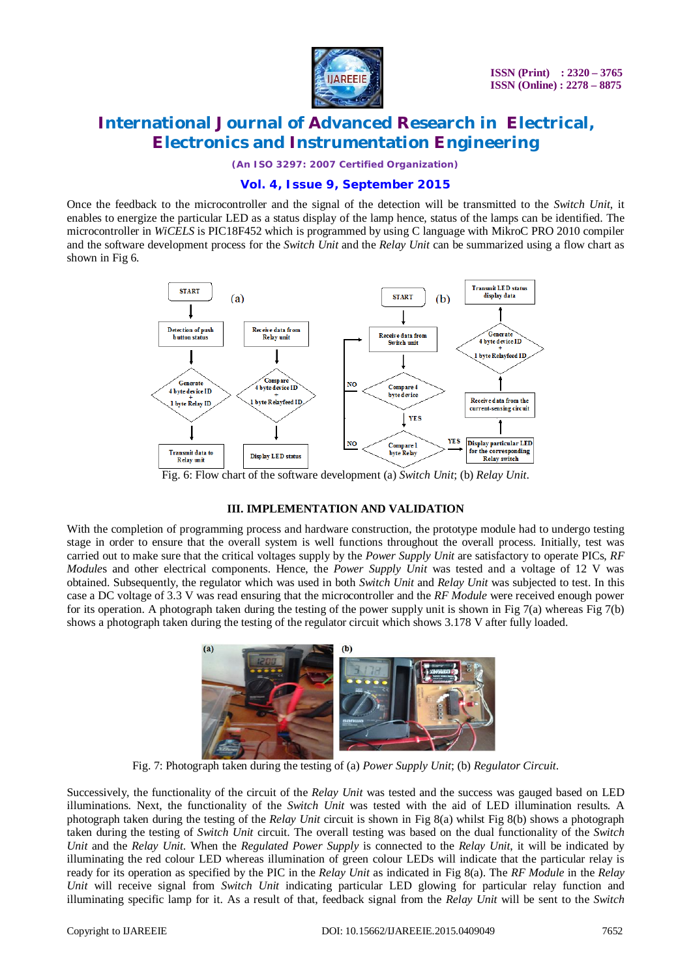

*(An ISO 3297: 2007 Certified Organization)*

### **Vol. 4, Issue 9, September 2015**

Once the feedback to the microcontroller and the signal of the detection will be transmitted to the *Switch Unit*, it enables to energize the particular LED as a status display of the lamp hence, status of the lamps can be identified. The microcontroller in *WiCELS* is PIC18F452 which is programmed by using C language with MikroC PRO 2010 compiler and the software development process for the *Switch Unit* and the *Relay Unit* can be summarized using a flow chart as shown in Fig 6.



Fig. 6: Flow chart of the software development (a) *Switch Unit*; (b) *Relay Unit*.

#### **III. IMPLEMENTATION AND VALIDATION**

With the completion of programming process and hardware construction, the prototype module had to undergo testing stage in order to ensure that the overall system is well functions throughout the overall process. Initially, test was carried out to make sure that the critical voltages supply by the *Power Supply Unit* are satisfactory to operate PICs, *RF Module*s and other electrical components. Hence, the *Power Supply Unit* was tested and a voltage of 12 V was obtained. Subsequently, the regulator which was used in both *Switch Unit* and *Relay Unit* was subjected to test. In this case a DC voltage of 3.3 V was read ensuring that the microcontroller and the *RF Module* were received enough power for its operation. A photograph taken during the testing of the power supply unit is shown in Fig 7(a) whereas Fig 7(b) shows a photograph taken during the testing of the regulator circuit which shows 3.178 V after fully loaded.



Fig. 7: Photograph taken during the testing of (a) *Power Supply Unit*; (b) *Regulator Circuit*.

Successively, the functionality of the circuit of the *Relay Unit* was tested and the success was gauged based on LED illuminations. Next, the functionality of the *Switch Unit* was tested with the aid of LED illumination results. A photograph taken during the testing of the *Relay Unit* circuit is shown in Fig 8(a) whilst Fig 8(b) shows a photograph taken during the testing of *Switch Unit* circuit. The overall testing was based on the dual functionality of the *Switch Unit* and the *Relay Unit*. When the *Regulated Power Supply* is connected to the *Relay Unit*, it will be indicated by illuminating the red colour LED whereas illumination of green colour LEDs will indicate that the particular relay is ready for its operation as specified by the PIC in the *Relay Unit* as indicated in Fig 8(a). The *RF Module* in the *Relay Unit* will receive signal from *Switch Unit* indicating particular LED glowing for particular relay function and illuminating specific lamp for it. As a result of that, feedback signal from the *Relay Unit* will be sent to the *Switch*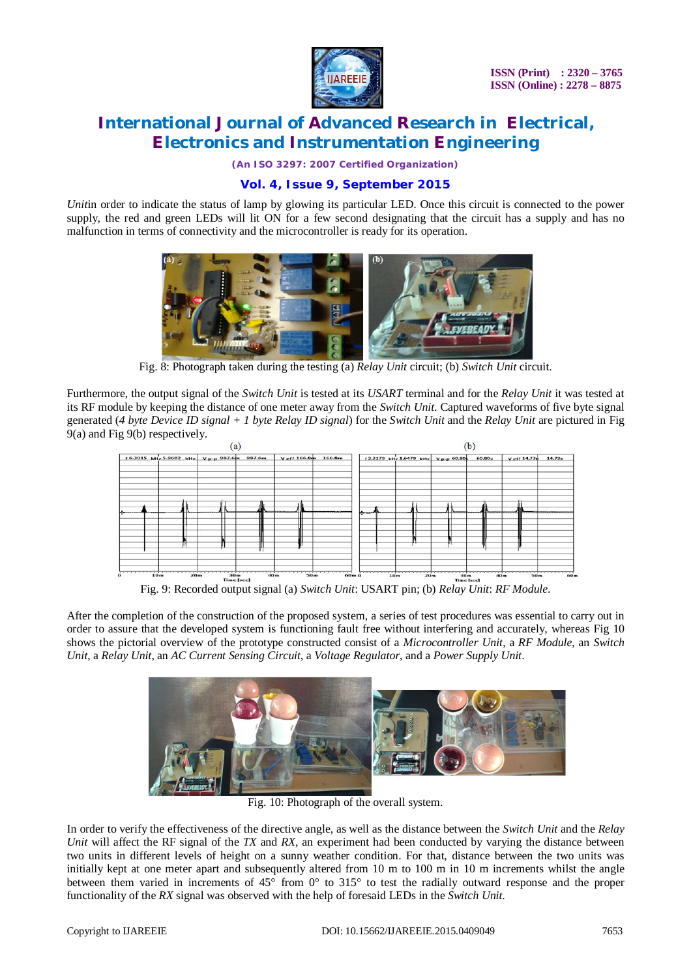

*(An ISO 3297: 2007 Certified Organization)*

### **Vol. 4, Issue 9, September 2015**

*Unitin* order to indicate the status of lamp by glowing its particular LED. Once this circuit is connected to the power supply, the red and green LEDs will lit ON for a few second designating that the circuit has a supply and has no malfunction in terms of connectivity and the microcontroller is ready for its operation.



Fig. 8: Photograph taken during the testing (a) *Relay Unit* circuit; (b) *Switch Unit* circuit.

Furthermore, the output signal of the *Switch Unit* is tested at its *USART* terminal and for the *Relay Unit* it was tested at its RF module by keeping the distance of one meter away from the *Switch Unit*. Captured waveforms of five byte signal generated (*4 byte Device ID signal + 1 byte Relay ID signal*) for the *Switch Unit* and the *Relay Unit* are pictured in Fig 9(a) and Fig 9(b) respectively.



Fig. 9: Recorded output signal (a) *Switch Unit*: USART pin; (b) *Relay Unit*: *RF Module*.

After the completion of the construction of the proposed system, a series of test procedures was essential to carry out in order to assure that the developed system is functioning fault free without interfering and accurately, whereas Fig 10 shows the pictorial overview of the prototype constructed consist of a *Microcontroller Unit*, a *RF Module*, an *Switch Unit*, a *Relay Unit*, an *AC Current Sensing Circuit*, a *Voltage Regulator*, and a *Power Supply Unit*.



Fig. 10: Photograph of the overall system.

In order to verify the effectiveness of the directive angle, as well as the distance between the *Switch Unit* and the *Relay Unit* will affect the RF signal of the *TX* and *RX*, an experiment had been conducted by varying the distance between two units in different levels of height on a sunny weather condition. For that, distance between the two units was initially kept at one meter apart and subsequently altered from 10 m to 100 m in 10 m increments whilst the angle between them varied in increments of 45° from 0° to 315° to test the radially outward response and the proper functionality of the *RX* signal was observed with the help of foresaid LEDs in the *Switch Unit*.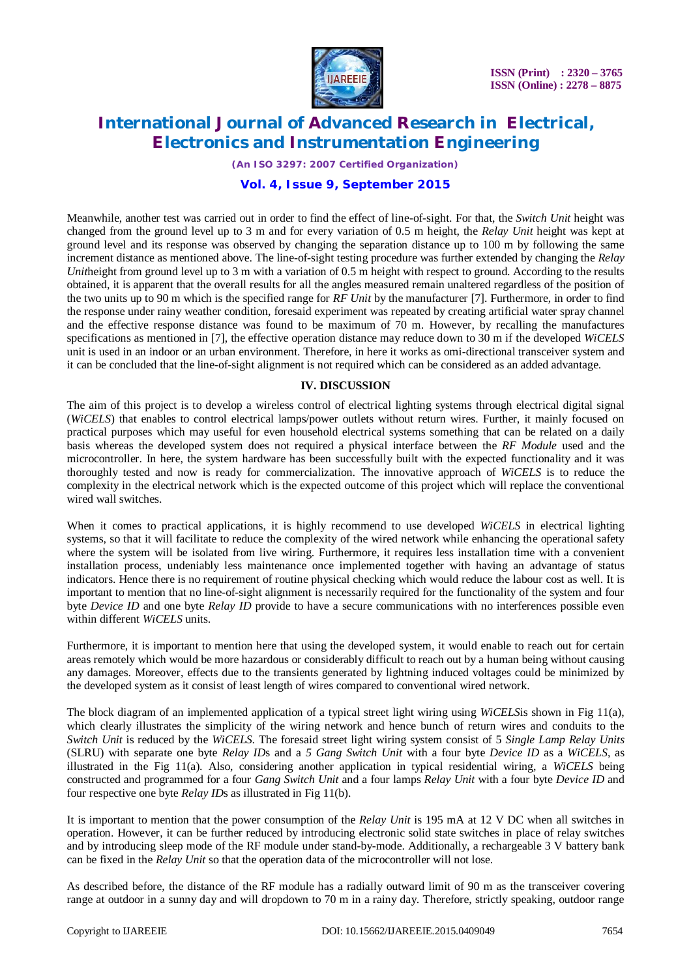

*(An ISO 3297: 2007 Certified Organization)*

### **Vol. 4, Issue 9, September 2015**

Meanwhile, another test was carried out in order to find the effect of line-of-sight. For that, the *Switch Unit* height was changed from the ground level up to 3 m and for every variation of 0.5 m height, the *Relay Unit* height was kept at ground level and its response was observed by changing the separation distance up to 100 m by following the same increment distance as mentioned above. The line-of-sight testing procedure was further extended by changing the *Relay Unitheight from ground level up to 3 m with a variation of 0.5 m height with respect to ground. According to the results* obtained, it is apparent that the overall results for all the angles measured remain unaltered regardless of the position of the two units up to 90 m which is the specified range for *RF Unit* by the manufacturer [7]. Furthermore, in order to find the response under rainy weather condition, foresaid experiment was repeated by creating artificial water spray channel and the effective response distance was found to be maximum of 70 m. However, by recalling the manufactures specifications as mentioned in [7], the effective operation distance may reduce down to 30 m if the developed *WiCELS* unit is used in an indoor or an urban environment. Therefore, in here it works as omi-directional transceiver system and it can be concluded that the line-of-sight alignment is not required which can be considered as an added advantage.

### **IV. DISCUSSION**

The aim of this project is to develop a wireless control of electrical lighting systems through electrical digital signal (*WiCELS*) that enables to control electrical lamps/power outlets without return wires. Further, it mainly focused on practical purposes which may useful for even household electrical systems something that can be related on a daily basis whereas the developed system does not required a physical interface between the *RF Module* used and the microcontroller. In here, the system hardware has been successfully built with the expected functionality and it was thoroughly tested and now is ready for commercialization. The innovative approach of *WiCELS* is to reduce the complexity in the electrical network which is the expected outcome of this project which will replace the conventional wired wall switches.

When it comes to practical applications, it is highly recommend to use developed *WiCELS* in electrical lighting systems, so that it will facilitate to reduce the complexity of the wired network while enhancing the operational safety where the system will be isolated from live wiring. Furthermore, it requires less installation time with a convenient installation process, undeniably less maintenance once implemented together with having an advantage of status indicators. Hence there is no requirement of routine physical checking which would reduce the labour cost as well. It is important to mention that no line-of-sight alignment is necessarily required for the functionality of the system and four byte *Device ID* and one byte *Relay ID* provide to have a secure communications with no interferences possible even within different *WiCELS* units.

Furthermore, it is important to mention here that using the developed system, it would enable to reach out for certain areas remotely which would be more hazardous or considerably difficult to reach out by a human being without causing any damages. Moreover, effects due to the transients generated by lightning induced voltages could be minimized by the developed system as it consist of least length of wires compared to conventional wired network.

The block diagram of an implemented application of a typical street light wiring using *WiCELS*is shown in Fig 11(a), which clearly illustrates the simplicity of the wiring network and hence bunch of return wires and conduits to the *Switch Unit* is reduced by the *WiCELS*. The foresaid street light wiring system consist of 5 *Single Lamp Relay Units* (SLRU) with separate one byte *Relay ID*s and a *5 Gang Switch Unit* with a four byte *Device ID* as a *WiCELS*, as illustrated in the Fig 11(a). Also, considering another application in typical residential wiring, a *WiCELS* being constructed and programmed for a four *Gang Switch Unit* and a four lamps *Relay Unit* with a four byte *Device ID* and four respective one byte *Relay ID*s as illustrated in Fig 11(b).

It is important to mention that the power consumption of the *Relay Unit* is 195 mA at 12 V DC when all switches in operation. However, it can be further reduced by introducing electronic solid state switches in place of relay switches and by introducing sleep mode of the RF module under stand-by-mode. Additionally, a rechargeable 3 V battery bank can be fixed in the *Relay Unit* so that the operation data of the microcontroller will not lose.

As described before, the distance of the RF module has a radially outward limit of 90 m as the transceiver covering range at outdoor in a sunny day and will dropdown to 70 m in a rainy day. Therefore, strictly speaking, outdoor range